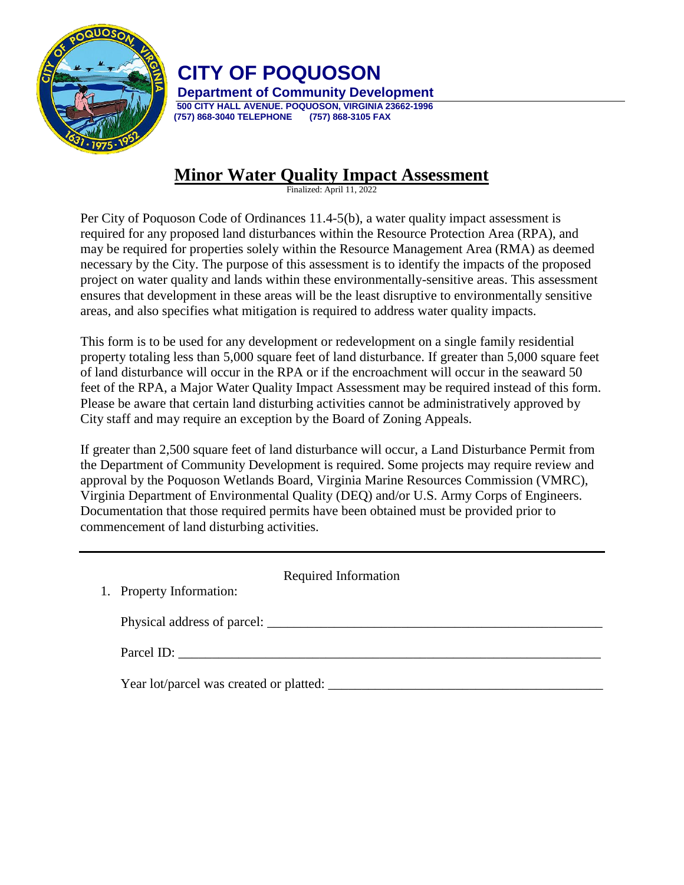

## **CITY OF POQUOSON**

**Department of Community Development 500 CITY HALL AVENUE. POQUOSON, VIRGINIA 23662-1996 (757) 868-3040 TELEPHONE (757) 868-3105 FAX**

## **Minor Water Quality Impact Assessment**

Finalized: April 11, 2022

Per City of Poquoson Code of Ordinances 11.4-5(b), a water quality impact assessment is required for any proposed land disturbances within the Resource Protection Area (RPA), and may be required for properties solely within the Resource Management Area (RMA) as deemed necessary by the City. The purpose of this assessment is to identify the impacts of the proposed project on water quality and lands within these environmentally-sensitive areas. This assessment ensures that development in these areas will be the least disruptive to environmentally sensitive areas, and also specifies what mitigation is required to address water quality impacts.

This form is to be used for any development or redevelopment on a single family residential property totaling less than 5,000 square feet of land disturbance. If greater than 5,000 square feet of land disturbance will occur in the RPA or if the encroachment will occur in the seaward 50 feet of the RPA, a Major Water Quality Impact Assessment may be required instead of this form. Please be aware that certain land disturbing activities cannot be administratively approved by City staff and may require an exception by the Board of Zoning Appeals.

If greater than 2,500 square feet of land disturbance will occur, a Land Disturbance Permit from the Department of Community Development is required. Some projects may require review and approval by the Poquoson Wetlands Board, Virginia Marine Resources Commission (VMRC), Virginia Department of Environmental Quality (DEQ) and/or U.S. Army Corps of Engineers. Documentation that those required permits have been obtained must be provided prior to commencement of land disturbing activities.

| 1. Property Information:                | Required Information |
|-----------------------------------------|----------------------|
|                                         |                      |
| Parcel ID:                              |                      |
| Year lot/parcel was created or platted: |                      |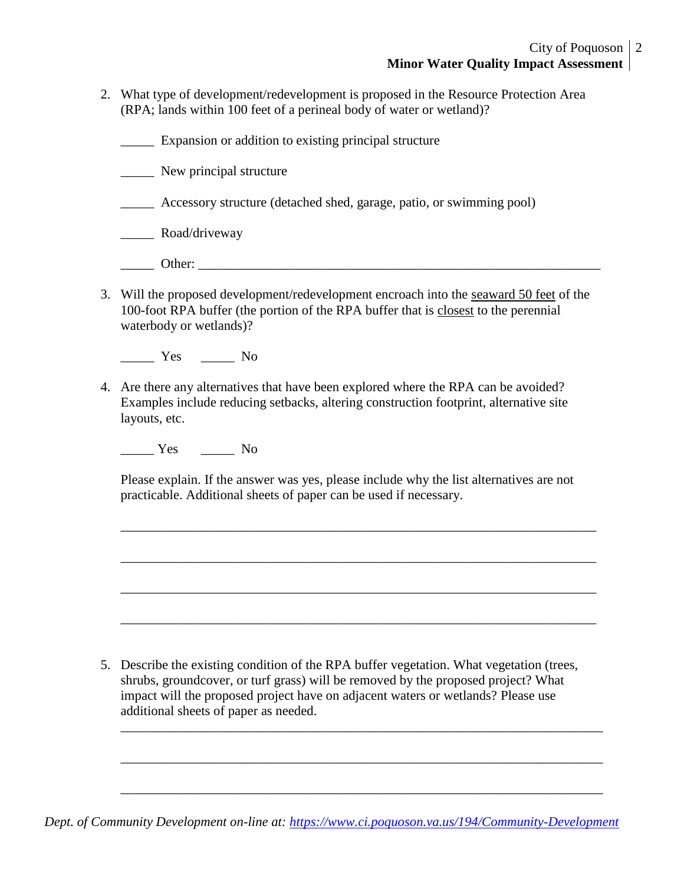2. What type of development/redevelopment is proposed in the Resource Protection Area (RPA; lands within 100 feet of a perineal body of water or wetland)?

\_\_\_\_\_ Expansion or addition to existing principal structure

\_\_\_\_\_ New principal structure

- \_\_\_\_\_ Accessory structure (detached shed, garage, patio, or swimming pool)
- \_\_\_\_\_ Road/driveway
- \_\_\_\_\_ Other: \_\_\_\_\_\_\_\_\_\_\_\_\_\_\_\_\_\_\_\_\_\_\_\_\_\_\_\_\_\_\_\_\_\_\_\_\_\_\_\_\_\_\_\_\_\_\_\_\_\_\_\_\_\_\_\_\_\_\_\_
- 3. Will the proposed development/redevelopment encroach into the seaward 50 feet of the 100-foot RPA buffer (the portion of the RPA buffer that is closest to the perennial waterbody or wetlands)?

Yes No

4. Are there any alternatives that have been explored where the RPA can be avoided? Examples include reducing setbacks, altering construction footprint, alternative site layouts, etc.

\_\_\_\_\_ Yes \_\_\_\_\_ No

Please explain. If the answer was yes, please include why the list alternatives are not practicable. Additional sheets of paper can be used if necessary.

\_\_\_\_\_\_\_\_\_\_\_\_\_\_\_\_\_\_\_\_\_\_\_\_\_\_\_\_\_\_\_\_\_\_\_\_\_\_\_\_\_\_\_\_\_\_\_\_\_\_\_\_\_\_\_\_\_\_\_\_\_\_\_\_\_\_\_\_\_\_\_

\_\_\_\_\_\_\_\_\_\_\_\_\_\_\_\_\_\_\_\_\_\_\_\_\_\_\_\_\_\_\_\_\_\_\_\_\_\_\_\_\_\_\_\_\_\_\_\_\_\_\_\_\_\_\_\_\_\_\_\_\_\_\_\_\_\_\_\_\_\_\_

\_\_\_\_\_\_\_\_\_\_\_\_\_\_\_\_\_\_\_\_\_\_\_\_\_\_\_\_\_\_\_\_\_\_\_\_\_\_\_\_\_\_\_\_\_\_\_\_\_\_\_\_\_\_\_\_\_\_\_\_\_\_\_\_\_\_\_\_\_\_\_

\_\_\_\_\_\_\_\_\_\_\_\_\_\_\_\_\_\_\_\_\_\_\_\_\_\_\_\_\_\_\_\_\_\_\_\_\_\_\_\_\_\_\_\_\_\_\_\_\_\_\_\_\_\_\_\_\_\_\_\_\_\_\_\_\_\_\_\_\_\_\_

\_\_\_\_\_\_\_\_\_\_\_\_\_\_\_\_\_\_\_\_\_\_\_\_\_\_\_\_\_\_\_\_\_\_\_\_\_\_\_\_\_\_\_\_\_\_\_\_\_\_\_\_\_\_\_\_\_\_\_\_\_\_\_\_\_\_\_\_\_\_\_\_

\_\_\_\_\_\_\_\_\_\_\_\_\_\_\_\_\_\_\_\_\_\_\_\_\_\_\_\_\_\_\_\_\_\_\_\_\_\_\_\_\_\_\_\_\_\_\_\_\_\_\_\_\_\_\_\_\_\_\_\_\_\_\_\_\_\_\_\_\_\_\_\_

\_\_\_\_\_\_\_\_\_\_\_\_\_\_\_\_\_\_\_\_\_\_\_\_\_\_\_\_\_\_\_\_\_\_\_\_\_\_\_\_\_\_\_\_\_\_\_\_\_\_\_\_\_\_\_\_\_\_\_\_\_\_\_\_\_\_\_\_\_\_\_\_

5. Describe the existing condition of the RPA buffer vegetation. What vegetation (trees, shrubs, groundcover, or turf grass) will be removed by the proposed project? What impact will the proposed project have on adjacent waters or wetlands? Please use additional sheets of paper as needed.

*Dept. of Community Development on-line at:<https://www.ci.poquoson.va.us/194/Community-Development>*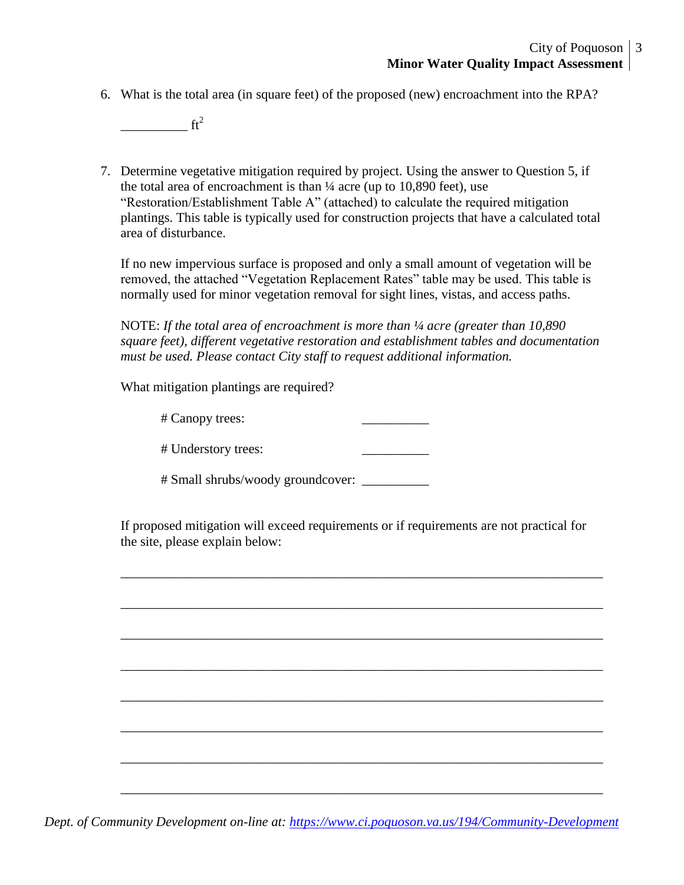6. What is the total area (in square feet) of the proposed (new) encroachment into the RPA?

 $\frac{1}{\sqrt{t^2}}$ 

7. Determine vegetative mitigation required by project. Using the answer to Question 5, if the total area of encroachment is than  $\frac{1}{4}$  acre (up to 10,890 feet), use "Restoration/Establishment Table A" (attached) to calculate the required mitigation plantings. This table is typically used for construction projects that have a calculated total area of disturbance.

If no new impervious surface is proposed and only a small amount of vegetation will be removed, the attached "Vegetation Replacement Rates" table may be used. This table is normally used for minor vegetation removal for sight lines, vistas, and access paths.

NOTE: If the total area of encroachment is more than  $\frac{1}{4}$  acre (greater than 10,890 *square feet), different vegetative restoration and establishment tables and documentation must be used. Please contact City staff to request additional information.*

What mitigation plantings are required?

# Canopy trees: \_\_\_\_\_\_\_\_\_\_

# Understory trees: \_\_\_\_\_\_\_\_\_\_

# Small shrubs/woody groundcover: \_\_\_\_\_\_\_\_\_\_

If proposed mitigation will exceed requirements or if requirements are not practical for the site, please explain below:

\_\_\_\_\_\_\_\_\_\_\_\_\_\_\_\_\_\_\_\_\_\_\_\_\_\_\_\_\_\_\_\_\_\_\_\_\_\_\_\_\_\_\_\_\_\_\_\_\_\_\_\_\_\_\_\_\_\_\_\_\_\_\_\_\_\_\_\_\_\_\_\_

\_\_\_\_\_\_\_\_\_\_\_\_\_\_\_\_\_\_\_\_\_\_\_\_\_\_\_\_\_\_\_\_\_\_\_\_\_\_\_\_\_\_\_\_\_\_\_\_\_\_\_\_\_\_\_\_\_\_\_\_\_\_\_\_\_\_\_\_\_\_\_\_

\_\_\_\_\_\_\_\_\_\_\_\_\_\_\_\_\_\_\_\_\_\_\_\_\_\_\_\_\_\_\_\_\_\_\_\_\_\_\_\_\_\_\_\_\_\_\_\_\_\_\_\_\_\_\_\_\_\_\_\_\_\_\_\_\_\_\_\_\_\_\_\_

\_\_\_\_\_\_\_\_\_\_\_\_\_\_\_\_\_\_\_\_\_\_\_\_\_\_\_\_\_\_\_\_\_\_\_\_\_\_\_\_\_\_\_\_\_\_\_\_\_\_\_\_\_\_\_\_\_\_\_\_\_\_\_\_\_\_\_\_\_\_\_\_

\_\_\_\_\_\_\_\_\_\_\_\_\_\_\_\_\_\_\_\_\_\_\_\_\_\_\_\_\_\_\_\_\_\_\_\_\_\_\_\_\_\_\_\_\_\_\_\_\_\_\_\_\_\_\_\_\_\_\_\_\_\_\_\_\_\_\_\_\_\_\_\_

\_\_\_\_\_\_\_\_\_\_\_\_\_\_\_\_\_\_\_\_\_\_\_\_\_\_\_\_\_\_\_\_\_\_\_\_\_\_\_\_\_\_\_\_\_\_\_\_\_\_\_\_\_\_\_\_\_\_\_\_\_\_\_\_\_\_\_\_\_\_\_\_

\_\_\_\_\_\_\_\_\_\_\_\_\_\_\_\_\_\_\_\_\_\_\_\_\_\_\_\_\_\_\_\_\_\_\_\_\_\_\_\_\_\_\_\_\_\_\_\_\_\_\_\_\_\_\_\_\_\_\_\_\_\_\_\_\_\_\_\_\_\_\_\_

\_\_\_\_\_\_\_\_\_\_\_\_\_\_\_\_\_\_\_\_\_\_\_\_\_\_\_\_\_\_\_\_\_\_\_\_\_\_\_\_\_\_\_\_\_\_\_\_\_\_\_\_\_\_\_\_\_\_\_\_\_\_\_\_\_\_\_\_\_\_\_\_

*Dept. of Community Development on-line at:<https://www.ci.poquoson.va.us/194/Community-Development>*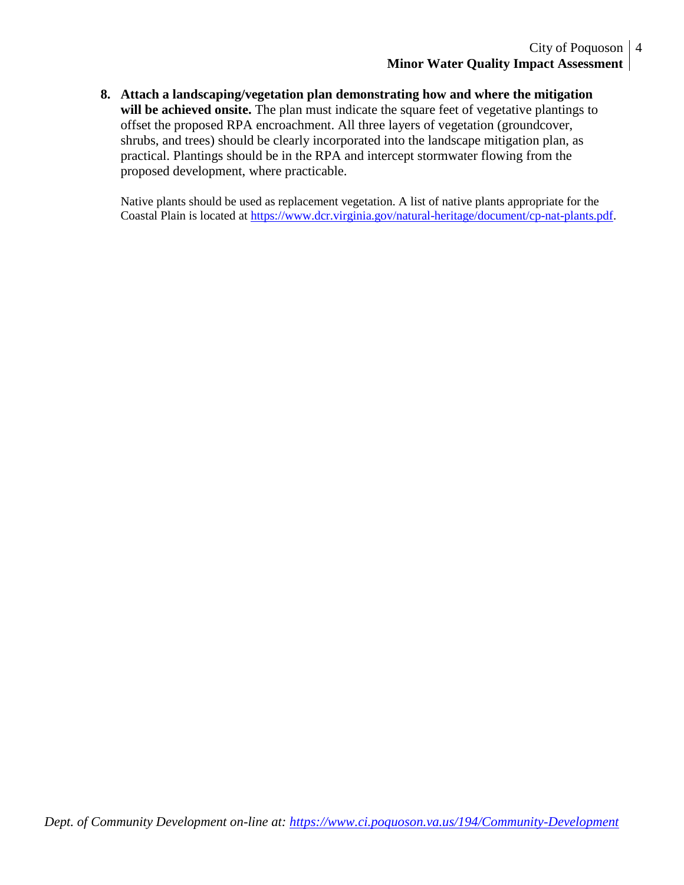**8. Attach a landscaping/vegetation plan demonstrating how and where the mitigation**  will be achieved onsite. The plan must indicate the square feet of vegetative plantings to offset the proposed RPA encroachment. All three layers of vegetation (groundcover, shrubs, and trees) should be clearly incorporated into the landscape mitigation plan, as practical. Plantings should be in the RPA and intercept stormwater flowing from the proposed development, where practicable.

Native plants should be used as replacement vegetation. A list of native plants appropriate for the Coastal Plain is located at [https://www.dcr.virginia.gov/natural-heritage/document/cp-nat-plants.pdf.](https://www.dcr.virginia.gov/natural-heritage/document/cp-nat-plants.pdf)